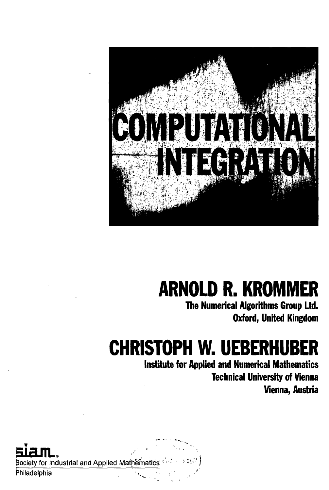

## **ARNOLD R. KROMMER**

**The Numerical Algorithms Group Ltd. Oxford, United Kingdom**

## **CHRISTOPH W. UEBERHUBER**

**Institute for Applied and Numerical Mathematics Technical University of Vienna Vienna, Austria**

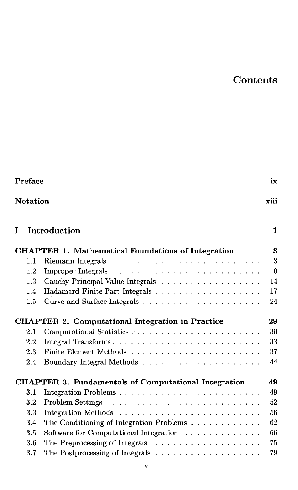## Contents

| Preface<br>ix<br><b>Notation</b><br>xiii |         |                                                                        |    |  |
|------------------------------------------|---------|------------------------------------------------------------------------|----|--|
|                                          |         |                                                                        |    |  |
|                                          |         | <b>CHAPTER 1. Mathematical Foundations of Integration</b>              | 3  |  |
|                                          | 1.1     |                                                                        | 3  |  |
|                                          | 1.2     |                                                                        | 10 |  |
|                                          | 1.3     | Cauchy Principal Value Integrals                                       | 14 |  |
|                                          | 1.4     |                                                                        | 17 |  |
|                                          | 1.5     |                                                                        | 24 |  |
|                                          |         | <b>CHAPTER 2. Computational Integration in Practice</b>                | 29 |  |
|                                          | 2.1     |                                                                        | 30 |  |
|                                          | $2.2\,$ | Integral Transforms                                                    | 33 |  |
|                                          | 2.3     |                                                                        | 37 |  |
|                                          | 2.4     |                                                                        | 44 |  |
|                                          |         | <b>CHAPTER 3. Fundamentals of Computational Integration</b>            | 49 |  |
|                                          | 3.1     |                                                                        | 49 |  |
|                                          | 3.2     |                                                                        | 52 |  |
|                                          | 3.3     |                                                                        | 56 |  |
|                                          | 3.4     | The Conditioning of Integration Problems $\ldots \ldots \ldots \ldots$ | 62 |  |
|                                          | 3.5     | Software for Computational Integration $\ldots \ldots \ldots \ldots$   | 66 |  |
|                                          | 3.6     |                                                                        | 75 |  |
|                                          | 3.7     |                                                                        | 79 |  |

 $\sim$ 

 $\hat{\boldsymbol{\cdot}$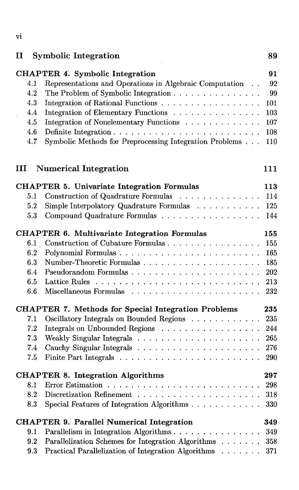| $\mathbf{I}$                                  | <b>Symbolic Integration</b>                                                                                                                                                                                                                                                                                               | 89                                                |
|-----------------------------------------------|---------------------------------------------------------------------------------------------------------------------------------------------------------------------------------------------------------------------------------------------------------------------------------------------------------------------------|---------------------------------------------------|
| 4.1<br>4.2<br>4.3<br>4.4<br>4.5<br>4.6<br>4.7 | <b>CHAPTER 4. Symbolic Integration</b><br>Representations and Operations in Algebraic Computation<br>The Problem of Symbolic Integration<br>Integration of Rational Functions<br>Integration of Elementary Functions<br>Integration of Nonelementary Functions<br>Symbolic Methods for Preprocessing Integration Problems | 91<br>92<br>99<br>101<br>103<br>107<br>108<br>110 |
| Ш                                             | <b>Numerical Integration</b>                                                                                                                                                                                                                                                                                              | 111                                               |
|                                               | <b>CHAPTER 5. Univariate Integration Formulas</b>                                                                                                                                                                                                                                                                         | 113                                               |
| 5.1                                           | Construction of Quadrature Formulas                                                                                                                                                                                                                                                                                       | 114                                               |
| 5.2                                           | Simple Interpolatory Quadrature Formulas                                                                                                                                                                                                                                                                                  | 125                                               |
| 5.3                                           | Compound Quadrature Formulas                                                                                                                                                                                                                                                                                              | 144                                               |
|                                               | <b>CHAPTER 6. Multivariate Integration Formulas</b>                                                                                                                                                                                                                                                                       | 155                                               |
| 6.1                                           | Construction of Cubature Formulas                                                                                                                                                                                                                                                                                         | 155                                               |
| 6.2                                           |                                                                                                                                                                                                                                                                                                                           | 165                                               |
| 6.3                                           |                                                                                                                                                                                                                                                                                                                           | 185                                               |
| 6.4                                           |                                                                                                                                                                                                                                                                                                                           | 202                                               |
| 6.5                                           | Lattice Rules                                                                                                                                                                                                                                                                                                             | 213                                               |
| 6.6                                           |                                                                                                                                                                                                                                                                                                                           | 232                                               |
|                                               | <b>CHAPTER 7. Methods for Special Integration Problems</b>                                                                                                                                                                                                                                                                | 235                                               |
| 7.1                                           | Oscillatory Integrals on Bounded Regions                                                                                                                                                                                                                                                                                  | 235                                               |
| 7.2                                           | Integrals on Unbounded Regions                                                                                                                                                                                                                                                                                            | 244                                               |
| 7.3                                           |                                                                                                                                                                                                                                                                                                                           | 265                                               |
| 7.4                                           |                                                                                                                                                                                                                                                                                                                           | 276                                               |
| 7.5                                           |                                                                                                                                                                                                                                                                                                                           | 290                                               |
|                                               | <b>CHAPTER 8. Integration Algorithms</b>                                                                                                                                                                                                                                                                                  | 297                                               |
| 8.1                                           |                                                                                                                                                                                                                                                                                                                           | 298                                               |
| 8.2                                           |                                                                                                                                                                                                                                                                                                                           | 318                                               |
| 8.3                                           | Special Features of Integration Algorithms                                                                                                                                                                                                                                                                                | 330                                               |
|                                               | <b>CHAPTER 9. Parallel Numerical Integration</b>                                                                                                                                                                                                                                                                          | 349                                               |
| 9.1                                           | Parallelism in Integration Algorithms                                                                                                                                                                                                                                                                                     | 349                                               |
| 9.2                                           | Parallelization Schemes for Integration Algorithms                                                                                                                                                                                                                                                                        | 358                                               |
| 9.3                                           | Practical Parallelization of Integration Algorithms                                                                                                                                                                                                                                                                       | 371                                               |

## **VI**